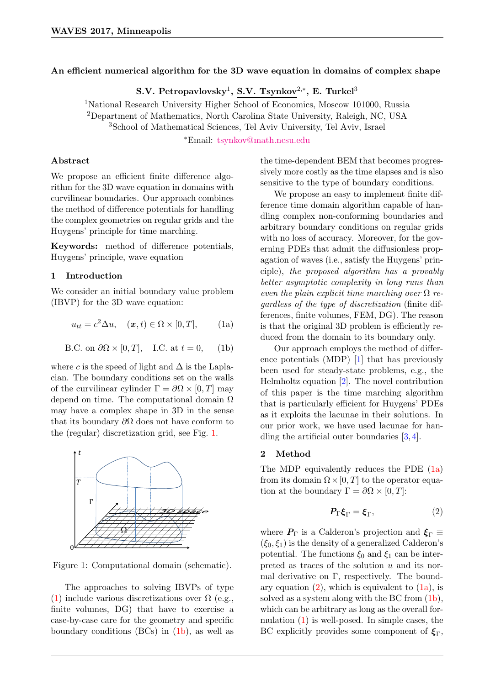# An efficient numerical algorithm for the 3D wave equation in domains of complex shape

S.V. Petropavlovsky $^1$ , S.V. Tsynkov $^{2,\ast},$  E. Turkel $^3$ 

<sup>1</sup>National Research University Higher School of Economics, Moscow 101000, Russia <sup>2</sup>Department of Mathematics, North Carolina State University, Raleigh, NC, USA <sup>3</sup>School of Mathematical Sciences, Tel Aviv University, Tel Aviv, Israel

<sup>∗</sup>Email: [tsynkov@math.ncsu.edu](mailto:tsynkov@math.ncsu.edu)

## Abstract

We propose an efficient finite difference algorithm for the 3D wave equation in domains with curvilinear boundaries. Our approach combines the method of difference potentials for handling the complex geometries on regular grids and the Huygens' principle for time marching.

Keywords: method of difference potentials, Huygens' principle, wave equation

## 1 Introduction

We consider an initial boundary value problem (IBVP) for the 3D wave equation:

<span id="page-0-3"></span>
$$
u_{tt} = c^2 \Delta u, \quad (\mathbf{x}, t) \in \Omega \times [0, T], \quad (1a)
$$

<span id="page-0-2"></span>B.C. on 
$$
\partial\Omega \times [0, T]
$$
, I.C. at  $t = 0$ , (1b)

where c is the speed of light and  $\Delta$  is the Laplacian. The boundary conditions set on the walls of the curvilinear cylinder  $\Gamma = \partial \Omega \times [0, T]$  may depend on time. The computational domain  $\Omega$ may have a complex shape in 3D in the sense that its boundary  $\partial\Omega$  does not have conform to the (regular) discretization grid, see Fig. [1.](#page-0-0)



<span id="page-0-0"></span>Figure 1: Computational domain (schematic).

The approaches to solving IBVPs of type [\(1\)](#page-0-1) include various discretizations over  $\Omega$  (e.g., finite volumes, DG) that have to exercise a case-by-case care for the geometry and specific boundary conditions (BCs) in [\(1b\)](#page-0-2), as well as

the time-dependent BEM that becomes progressively more costly as the time elapses and is also sensitive to the type of boundary conditions.

We propose an easy to implement finite difference time domain algorithm capable of handling complex non-conforming boundaries and arbitrary boundary conditions on regular grids with no loss of accuracy. Moreover, for the governing PDEs that admit the diffusionless propagation of waves (i.e., satisfy the Huygens' principle), the proposed algorithm has a provably better asymptotic complexity in long runs than even the plain explicit time marching over  $\Omega$  regardless of the type of discretization (finite differences, finite volumes, FEM, DG). The reason is that the original 3D problem is efficiently reduced from the domain to its boundary only.

<span id="page-0-1"></span>Our approach employs the method of difference potentials (MDP) [\[1\]](#page-1-0) that has previously been used for steady-state problems, e.g., the Helmholtz equation [\[2\]](#page-1-1). The novel contribution of this paper is the time marching algorithm that is particularly efficient for Huygens' PDEs as it exploits the lacunae in their solutions. In our prior work, we have used lacunae for handling the artificial outer boundaries [\[3,](#page-1-2) [4\]](#page-1-3).

## 2 Method

The MDP equivalently reduces the PDE [\(1a\)](#page-0-3) from its domain  $\Omega \times [0, T]$  to the operator equation at the boundary  $\Gamma = \partial \Omega \times [0, T]$ :

<span id="page-0-4"></span>
$$
P_{\Gamma} \xi_{\Gamma} = \xi_{\Gamma}, \tag{2}
$$

where  $P_{\Gamma}$  is a Calderon's projection and  $\xi_{\Gamma} \equiv$  $(\xi_0, \xi_1)$  is the density of a generalized Calderon's potential. The functions  $\xi_0$  and  $\xi_1$  can be interpreted as traces of the solution u and its normal derivative on  $\Gamma$ , respectively. The boundary equation  $(2)$ , which is equivalent to  $(1a)$ , is solved as a system along with the BC from [\(1b\)](#page-0-2), which can be arbitrary as long as the overall formulation [\(1\)](#page-0-1) is well-posed. In simple cases, the BC explicitly provides some component of  $\xi_{\Gamma}$ ,